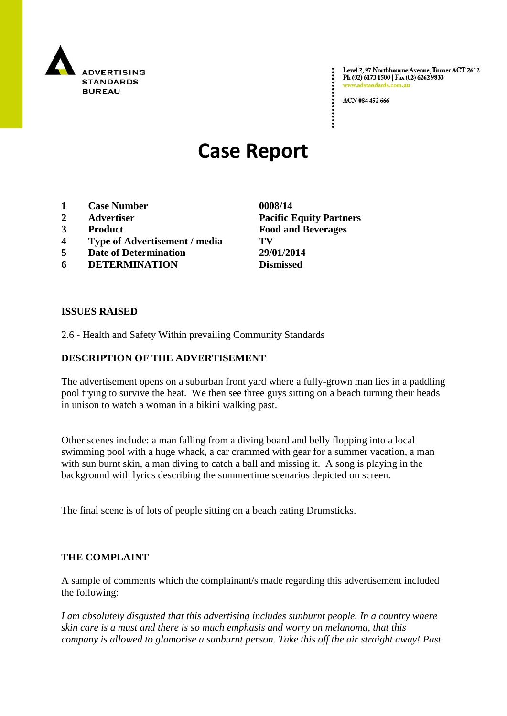

Level 2, 97 Northbourne Avenue, Turner ACT 2612 Ph (02) 6173 1500 | Fax (02) 6262 9833 www.adstandards.c

ACN 084 452 666

# **Case Report**

- **1 Case Number 0008/14**
- **2 Advertiser Pacific Equity Partners**
- **3 Product Food and Beverages**
- **4 Type of Advertisement / media TV**
- **5 Date of Determination 29/01/2014**
- **6 DETERMINATION Dismissed**

**ISSUES RAISED**

2.6 - Health and Safety Within prevailing Community Standards

# **DESCRIPTION OF THE ADVERTISEMENT**

The advertisement opens on a suburban front yard where a fully-grown man lies in a paddling pool trying to survive the heat. We then see three guys sitting on a beach turning their heads in unison to watch a woman in a bikini walking past.

Other scenes include: a man falling from a diving board and belly flopping into a local swimming pool with a huge whack, a car crammed with gear for a summer vacation, a man with sun burnt skin, a man diving to catch a ball and missing it. A song is playing in the background with lyrics describing the summertime scenarios depicted on screen.

The final scene is of lots of people sitting on a beach eating Drumsticks.

### **THE COMPLAINT**

A sample of comments which the complainant/s made regarding this advertisement included the following:

*I am absolutely disgusted that this advertising includes sunburnt people. In a country where skin care is a must and there is so much emphasis and worry on melanoma, that this company is allowed to glamorise a sunburnt person. Take this off the air straight away! Past*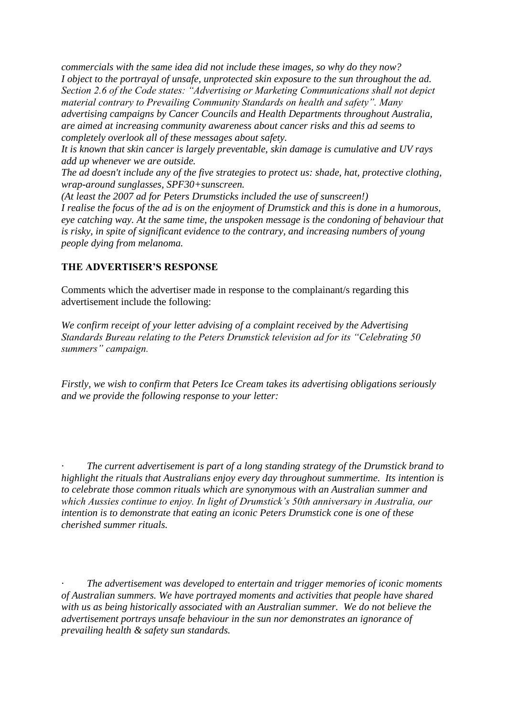*commercials with the same idea did not include these images, so why do they now? I object to the portrayal of unsafe, unprotected skin exposure to the sun throughout the ad. Section 2.6 of the Code states: "Advertising or Marketing Communications shall not depict material contrary to Prevailing Community Standards on health and safety". Many advertising campaigns by Cancer Councils and Health Departments throughout Australia, are aimed at increasing community awareness about cancer risks and this ad seems to completely overlook all of these messages about safety.*

*It is known that skin cancer is largely preventable, skin damage is cumulative and UV rays add up whenever we are outside.*

*The ad doesn't include any of the five strategies to protect us: shade, hat, protective clothing, wrap-around sunglasses, SPF30+sunscreen.*

*(At least the 2007 ad for Peters Drumsticks included the use of sunscreen!) I realise the focus of the ad is on the enjoyment of Drumstick and this is done in a humorous, eye catching way. At the same time, the unspoken message is the condoning of behaviour that is risky, in spite of significant evidence to the contrary, and increasing numbers of young people dying from melanoma.*

# **THE ADVERTISER'S RESPONSE**

Comments which the advertiser made in response to the complainant/s regarding this advertisement include the following:

*We confirm receipt of your letter advising of a complaint received by the Advertising Standards Bureau relating to the Peters Drumstick television ad for its "Celebrating 50 summers" campaign.* 

*Firstly, we wish to confirm that Peters Ice Cream takes its advertising obligations seriously and we provide the following response to your letter:*

*· The current advertisement is part of a long standing strategy of the Drumstick brand to highlight the rituals that Australians enjoy every day throughout summertime. Its intention is to celebrate those common rituals which are synonymous with an Australian summer and which Aussies continue to enjoy. In light of Drumstick's 50th anniversary in Australia, our intention is to demonstrate that eating an iconic Peters Drumstick cone is one of these cherished summer rituals.* 

*· The advertisement was developed to entertain and trigger memories of iconic moments of Australian summers. We have portrayed moments and activities that people have shared with us as being historically associated with an Australian summer. We do not believe the advertisement portrays unsafe behaviour in the sun nor demonstrates an ignorance of prevailing health & safety sun standards.*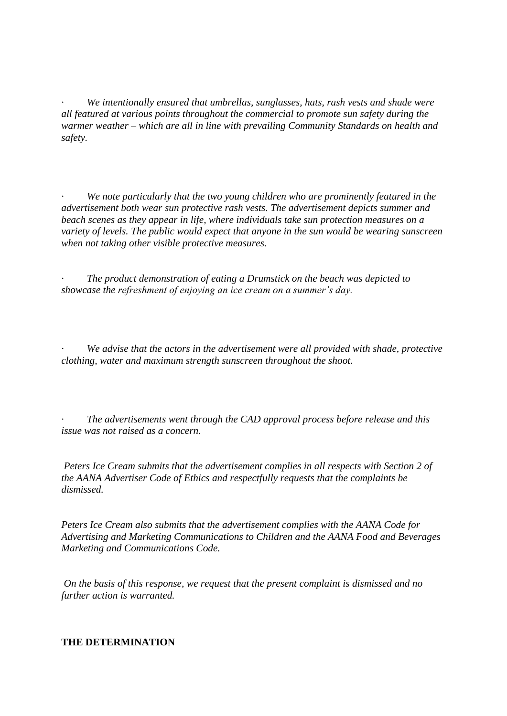*· We intentionally ensured that umbrellas, sunglasses, hats, rash vests and shade were all featured at various points throughout the commercial to promote sun safety during the warmer weather – which are all in line with prevailing Community Standards on health and safety.* 

We note particularly that the two young children who are prominently featured in the *advertisement both wear sun protective rash vests. The advertisement depicts summer and beach scenes as they appear in life, where individuals take sun protection measures on a variety of levels. The public would expect that anyone in the sun would be wearing sunscreen when not taking other visible protective measures.* 

*· The product demonstration of eating a Drumstick on the beach was depicted to showcase the refreshment of enjoying an ice cream on a summer's day.* 

*We advise that the actors in the advertisement were all provided with shade, protective clothing, water and maximum strength sunscreen throughout the shoot.* 

*· The advertisements went through the CAD approval process before release and this issue was not raised as a concern.* 

*Peters Ice Cream submits that the advertisement complies in all respects with Section 2 of the AANA Advertiser Code of Ethics and respectfully requests that the complaints be dismissed.* 

*Peters Ice Cream also submits that the advertisement complies with the AANA Code for Advertising and Marketing Communications to Children and the AANA Food and Beverages Marketing and Communications Code.* 

*On the basis of this response, we request that the present complaint is dismissed and no further action is warranted.*

#### **THE DETERMINATION**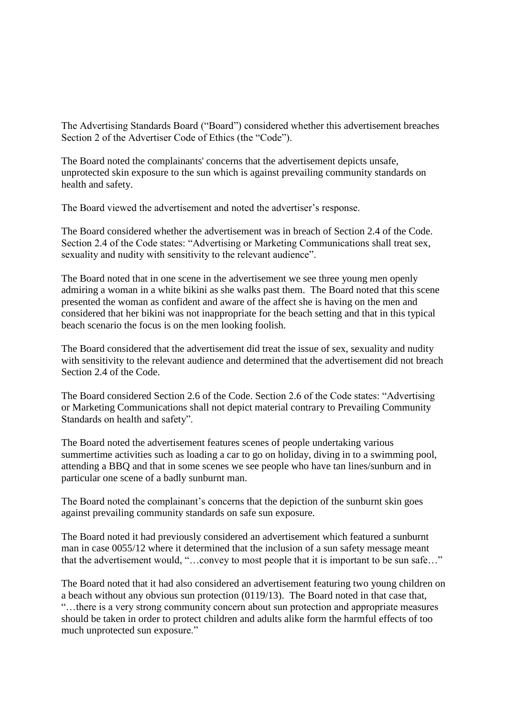The Advertising Standards Board ("Board") considered whether this advertisement breaches Section 2 of the Advertiser Code of Ethics (the "Code").

The Board noted the complainants' concerns that the advertisement depicts unsafe, unprotected skin exposure to the sun which is against prevailing community standards on health and safety.

The Board viewed the advertisement and noted the advertiser's response.

The Board considered whether the advertisement was in breach of Section 2.4 of the Code. Section 2.4 of the Code states: "Advertising or Marketing Communications shall treat sex, sexuality and nudity with sensitivity to the relevant audience".

The Board noted that in one scene in the advertisement we see three young men openly admiring a woman in a white bikini as she walks past them. The Board noted that this scene presented the woman as confident and aware of the affect she is having on the men and considered that her bikini was not inappropriate for the beach setting and that in this typical beach scenario the focus is on the men looking foolish.

The Board considered that the advertisement did treat the issue of sex, sexuality and nudity with sensitivity to the relevant audience and determined that the advertisement did not breach Section 2.4 of the Code.

The Board considered Section 2.6 of the Code. Section 2.6 of the Code states: "Advertising or Marketing Communications shall not depict material contrary to Prevailing Community Standards on health and safety".

The Board noted the advertisement features scenes of people undertaking various summertime activities such as loading a car to go on holiday, diving in to a swimming pool, attending a BBQ and that in some scenes we see people who have tan lines/sunburn and in particular one scene of a badly sunburnt man.

The Board noted the complainant's concerns that the depiction of the sunburnt skin goes against prevailing community standards on safe sun exposure.

The Board noted it had previously considered an advertisement which featured a sunburnt man in case 0055/12 where it determined that the inclusion of a sun safety message meant that the advertisement would, "…convey to most people that it is important to be sun safe…"

The Board noted that it had also considered an advertisement featuring two young children on a beach without any obvious sun protection (0119/13). The Board noted in that case that, "…there is a very strong community concern about sun protection and appropriate measures should be taken in order to protect children and adults alike form the harmful effects of too much unprotected sun exposure."